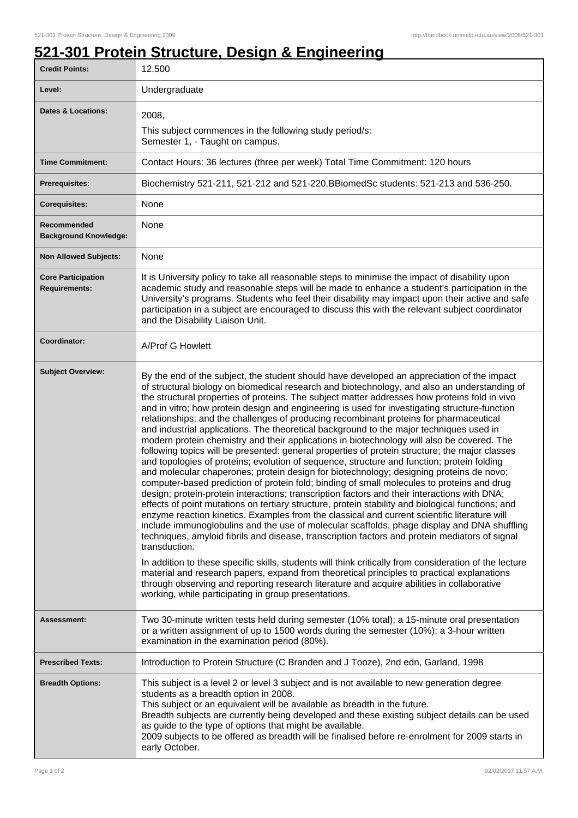٦

## **521-301 Protein Structure, Design & Engineering**

| <b>Credit Points:</b>                             | 12.500                                                                                                                                                                                                                                                                                                                                                                                                                                                                                                                                                                                                                                                                                                                                                                                                                                                                                                                                                                                                                                                                                                                                                                                                                                                                                                                                                                                                                                                                                                                                                                                                                                                                                                                                                                                                                                                                                                                                                        |
|---------------------------------------------------|---------------------------------------------------------------------------------------------------------------------------------------------------------------------------------------------------------------------------------------------------------------------------------------------------------------------------------------------------------------------------------------------------------------------------------------------------------------------------------------------------------------------------------------------------------------------------------------------------------------------------------------------------------------------------------------------------------------------------------------------------------------------------------------------------------------------------------------------------------------------------------------------------------------------------------------------------------------------------------------------------------------------------------------------------------------------------------------------------------------------------------------------------------------------------------------------------------------------------------------------------------------------------------------------------------------------------------------------------------------------------------------------------------------------------------------------------------------------------------------------------------------------------------------------------------------------------------------------------------------------------------------------------------------------------------------------------------------------------------------------------------------------------------------------------------------------------------------------------------------------------------------------------------------------------------------------------------------|
| Level:                                            | Undergraduate                                                                                                                                                                                                                                                                                                                                                                                                                                                                                                                                                                                                                                                                                                                                                                                                                                                                                                                                                                                                                                                                                                                                                                                                                                                                                                                                                                                                                                                                                                                                                                                                                                                                                                                                                                                                                                                                                                                                                 |
| <b>Dates &amp; Locations:</b>                     | 2008,<br>This subject commences in the following study period/s:<br>Semester 1, - Taught on campus.                                                                                                                                                                                                                                                                                                                                                                                                                                                                                                                                                                                                                                                                                                                                                                                                                                                                                                                                                                                                                                                                                                                                                                                                                                                                                                                                                                                                                                                                                                                                                                                                                                                                                                                                                                                                                                                           |
| <b>Time Commitment:</b>                           | Contact Hours: 36 lectures (three per week) Total Time Commitment: 120 hours                                                                                                                                                                                                                                                                                                                                                                                                                                                                                                                                                                                                                                                                                                                                                                                                                                                                                                                                                                                                                                                                                                                                                                                                                                                                                                                                                                                                                                                                                                                                                                                                                                                                                                                                                                                                                                                                                  |
| Prerequisites:                                    | Biochemistry 521-211, 521-212 and 521-220.BBiomedSc students: 521-213 and 536-250.                                                                                                                                                                                                                                                                                                                                                                                                                                                                                                                                                                                                                                                                                                                                                                                                                                                                                                                                                                                                                                                                                                                                                                                                                                                                                                                                                                                                                                                                                                                                                                                                                                                                                                                                                                                                                                                                            |
| <b>Corequisites:</b>                              | None                                                                                                                                                                                                                                                                                                                                                                                                                                                                                                                                                                                                                                                                                                                                                                                                                                                                                                                                                                                                                                                                                                                                                                                                                                                                                                                                                                                                                                                                                                                                                                                                                                                                                                                                                                                                                                                                                                                                                          |
| Recommended<br><b>Background Knowledge:</b>       | None                                                                                                                                                                                                                                                                                                                                                                                                                                                                                                                                                                                                                                                                                                                                                                                                                                                                                                                                                                                                                                                                                                                                                                                                                                                                                                                                                                                                                                                                                                                                                                                                                                                                                                                                                                                                                                                                                                                                                          |
| <b>Non Allowed Subjects:</b>                      | None                                                                                                                                                                                                                                                                                                                                                                                                                                                                                                                                                                                                                                                                                                                                                                                                                                                                                                                                                                                                                                                                                                                                                                                                                                                                                                                                                                                                                                                                                                                                                                                                                                                                                                                                                                                                                                                                                                                                                          |
| <b>Core Participation</b><br><b>Requirements:</b> | It is University policy to take all reasonable steps to minimise the impact of disability upon<br>academic study and reasonable steps will be made to enhance a student's participation in the<br>University's programs. Students who feel their disability may impact upon their active and safe<br>participation in a subject are encouraged to discuss this with the relevant subject coordinator<br>and the Disability Liaison Unit.                                                                                                                                                                                                                                                                                                                                                                                                                                                                                                                                                                                                                                                                                                                                                                                                                                                                                                                                                                                                                                                                                                                                                                                                                                                                                                                                                                                                                                                                                                                      |
| Coordinator:                                      | A/Prof G Howlett                                                                                                                                                                                                                                                                                                                                                                                                                                                                                                                                                                                                                                                                                                                                                                                                                                                                                                                                                                                                                                                                                                                                                                                                                                                                                                                                                                                                                                                                                                                                                                                                                                                                                                                                                                                                                                                                                                                                              |
| <b>Subject Overview:</b>                          | By the end of the subject, the student should have developed an appreciation of the impact<br>of structural biology on biomedical research and biotechnology, and also an understanding of<br>the structural properties of proteins. The subject matter addresses how proteins fold in vivo<br>and in vitro; how protein design and engineering is used for investigating structure-function<br>relationships; and the challenges of producing recombinant proteins for pharmaceutical<br>and industrial applications. The theoretical background to the major techniques used in<br>modern protein chemistry and their applications in biotechnology will also be covered. The<br>following topics will be presented: general properties of protein structure; the major classes<br>and topologies of proteins; evolution of sequence, structure and function; protein folding<br>and molecular chaperones; protein design for biotechnology; designing proteins de novo;<br>computer-based prediction of protein fold; binding of small molecules to proteins and drug<br>design; protein-protein interactions; transcription factors and their interactions with DNA;<br>effects of point mutations on tertiary structure, protein stability and biological functions; and<br>enzyme reaction kinetics. Examples from the classical and current scientific literature will<br>include immunoglobulins and the use of molecular scaffolds, phage display and DNA shuffling<br>techniques, amyloid fibrils and disease, transcription factors and protein mediators of signal<br>transduction.<br>In addition to these specific skills, students will think critically from consideration of the lecture<br>material and research papers, expand from theoretical principles to practical explanations<br>through observing and reporting research literature and acquire abilities in collaborative<br>working, while participating in group presentations. |
| Assessment:                                       | Two 30-minute written tests held during semester (10% total); a 15-minute oral presentation<br>or a written assignment of up to 1500 words during the semester (10%); a 3-hour written<br>examination in the examination period (80%).                                                                                                                                                                                                                                                                                                                                                                                                                                                                                                                                                                                                                                                                                                                                                                                                                                                                                                                                                                                                                                                                                                                                                                                                                                                                                                                                                                                                                                                                                                                                                                                                                                                                                                                        |
| <b>Prescribed Texts:</b>                          | Introduction to Protein Structure (C Branden and J Tooze), 2nd edn, Garland, 1998                                                                                                                                                                                                                                                                                                                                                                                                                                                                                                                                                                                                                                                                                                                                                                                                                                                                                                                                                                                                                                                                                                                                                                                                                                                                                                                                                                                                                                                                                                                                                                                                                                                                                                                                                                                                                                                                             |
| <b>Breadth Options:</b>                           | This subject is a level 2 or level 3 subject and is not available to new generation degree<br>students as a breadth option in 2008.<br>This subject or an equivalent will be available as breadth in the future.<br>Breadth subjects are currently being developed and these existing subject details can be used<br>as guide to the type of options that might be available.<br>2009 subjects to be offered as breadth will be finalised before re-enrolment for 2009 starts in<br>early October.                                                                                                                                                                                                                                                                                                                                                                                                                                                                                                                                                                                                                                                                                                                                                                                                                                                                                                                                                                                                                                                                                                                                                                                                                                                                                                                                                                                                                                                            |